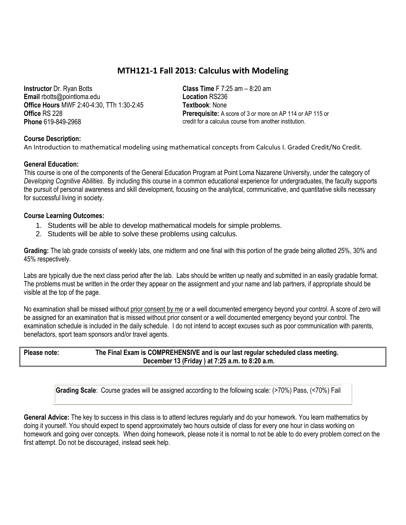# **MTH121-1 Fall 2013: Calculus with Modeling**

**Instructor** Dr. Ryan Botts **Email** rbotts@pointloma.edu **Office Hours** MWF 2:40-4:30, TTh 1:30-2:45 **Office** RS 228 **Phone** 619-849-2968

**Class Time** F 7:25 am – 8:20 am **Location** RS236 **Textbook**: None **Prerequisite:** A score of 3 or more on AP 114 or AP 115 or credit for a calculus course from another institution.

## **Course Description:**

An Introduction to mathematical modeling using mathematical concepts from Calculus I. Graded Credit/No Credit.

#### **General Education:**

This course is one of the components of the General Education Program at Point Loma Nazarene University, under the category of *Developing Cognitive Abilities*. By including this course in a common educational experience for undergraduates, the faculty supports the pursuit of personal awareness and skill development, focusing on the analytical, communicative, and quantitative skills necessary for successful living in society.

#### **Course Learning Outcomes:**

- 1. Students will be able to develop mathematical models for simple problems.
- 2. Students will be able to solve these problems using calculus.

**Grading:** The lab grade consists of weekly labs, one midterm and one final with this portion of the grade being allotted 25%, 30% and 45% respectively.

Labs are typically due the next class period after the lab. Labs should be written up neatly and submitted in an easily gradable format. The problems must be written in the order they appear on the assignment and your name and lab partners, if appropriate should be visible at the top of the page.

No examination shall be missed without prior consent by me or a well documented emergency beyond your control. A score of zero will be assigned for an examination that is missed without prior consent or a well documented emergency beyond your control. The examination schedule is included in the daily schedule. I do not intend to accept excuses such as poor communication with parents, benefactors, sport team sponsors and/or travel agents.

**Please note: The Final Exam is COMPREHENSIVE and is our last regular scheduled class meeting. December 13 (Friday ) at 7:25 a.m. to 8:20 a.m.**

**Grading Scale**: Course grades will be assigned according to the following scale: (>70%) Pass, (<70%) Fail

**General Advice:** The key to success in this class is to attend lectures regularly and do your homework. You learn mathematics by doing it yourself. You should expect to spend approximately two hours outside of class for every one hour in class working on homework and going over concepts. When doing homework, please note it is normal to not be able to do every problem correct on the first attempt. Do not be discouraged, instead seek help.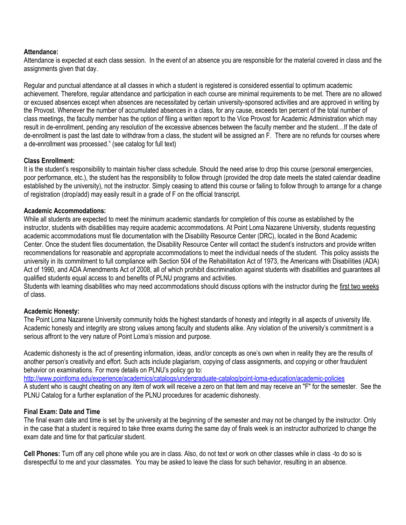#### **Attendance:**

Attendance is expected at each class session. In the event of an absence you are responsible for the material covered in class and the assignments given that day.

Regular and punctual attendance at all classes in which a student is registered is considered essential to optimum academic achievement. Therefore, regular attendance and participation in each course are minimal requirements to be met. There are no allowed or excused absences except when absences are necessitated by certain university-sponsored activities and are approved in writing by the Provost. Whenever the number of accumulated absences in a class, for any cause, exceeds ten percent of the total number of class meetings, the faculty member has the option of filing a written report to the Vice Provost for Academic Administration which may result in de-enrollment, pending any resolution of the excessive absences between the faculty member and the student…If the date of de-enrollment is past the last date to withdraw from a class, the student will be assigned an F. There are no refunds for courses where a de-enrollment was processed." (see catalog for full text)

## **Class Enrollment:**

It is the student's responsibility to maintain his/her class schedule. Should the need arise to drop this course (personal emergencies, poor performance, etc.), the student has the responsibility to follow through (provided the drop date meets the stated calendar deadline established by the university), not the instructor. Simply ceasing to attend this course or failing to follow through to arrange for a change of registration (drop/add) may easily result in a grade of F on the official transcript.

#### **Academic Accommodations:**

While all students are expected to meet the minimum academic standards for completion of this course as established by the instructor, students with disabilities may require academic accommodations. At Point Loma Nazarene University, students requesting academic accommodations must file documentation with the Disability Resource Center (DRC), located in the Bond Academic Center. Once the student files documentation, the Disability Resource Center will contact the student's instructors and provide written recommendations for reasonable and appropriate accommodations to meet the individual needs of the student. This policy assists the university in its commitment to full compliance with Section 504 of the Rehabilitation Act of 1973, the Americans with Disabilities (ADA) Act of 1990, and ADA Amendments Act of 2008, all of which prohibit discrimination against students with disabilities and guarantees all qualified students equal access to and benefits of PLNU programs and activities.

Students with learning disabilities who may need accommodations should discuss options with the instructor during the first two weeks of class.

# **Academic Honesty:**

The Point Loma Nazarene University community holds the highest standards of honesty and integrity in all aspects of university life. Academic honesty and integrity are strong values among faculty and students alike. Any violation of the university's commitment is a serious affront to the very nature of Point Loma's mission and purpose.

Academic dishonesty is the act of presenting information, ideas, and/or concepts as one's own when in reality they are the results of another person's creativity and effort. Such acts include plagiarism, copying of class assignments, and copying or other fraudulent behavior on examinations. For more details on PLNU's policy go to:

<http://www.pointloma.edu/experience/academics/catalogs/undergraduate-catalog/point-loma-education/academic-policies> A student who is caught cheating on any item of work will receive a zero on that item and may receive an "F" for the semester. See the PLNU Catalog for a further explanation of the PLNU procedures for academic dishonesty.

# **Final Exam: Date and Time**

The final exam date and time is set by the university at the beginning of the semester and may not be changed by the instructor. Only in the case that a student is required to take three exams during the same day of finals week is an instructor authorized to change the exam date and time for that particular student.

**Cell Phones:** Turn off any cell phone while you are in class. Also, do not text or work on other classes while in class -to do so is disrespectful to me and your classmates. You may be asked to leave the class for such behavior, resulting in an absence.